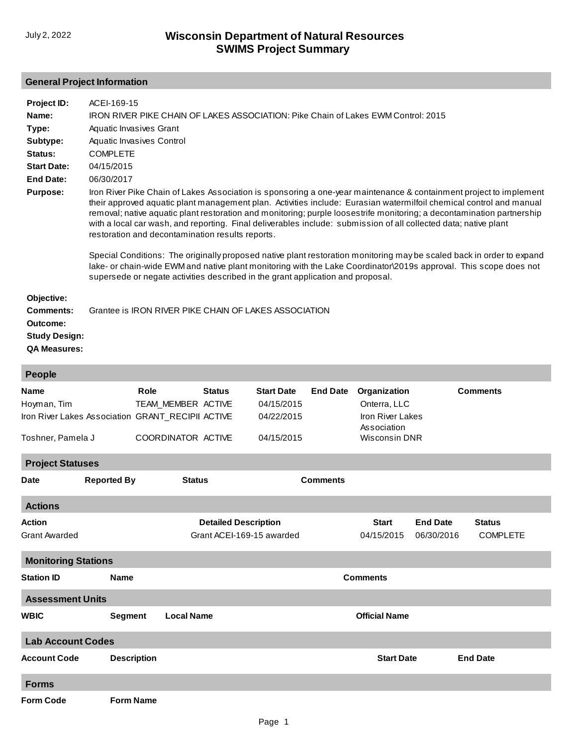## **General Project Information**

| Project ID:<br>Name:<br>Type:                        | ACEI-169-15<br>IRON RIVER PIKE CHAIN OF LAKES ASSOCIATION: Pike Chain of Lakes EWM Control: 2015<br>Aquatic Invasives Grant                                                                                                                                                                                                                                                                                                                                                                                                                 |
|------------------------------------------------------|---------------------------------------------------------------------------------------------------------------------------------------------------------------------------------------------------------------------------------------------------------------------------------------------------------------------------------------------------------------------------------------------------------------------------------------------------------------------------------------------------------------------------------------------|
| Subtype:                                             | Aquatic Invasives Control                                                                                                                                                                                                                                                                                                                                                                                                                                                                                                                   |
| Status:                                              | <b>COMPLETE</b>                                                                                                                                                                                                                                                                                                                                                                                                                                                                                                                             |
| <b>Start Date:</b>                                   | 04/15/2015                                                                                                                                                                                                                                                                                                                                                                                                                                                                                                                                  |
| End Date:                                            | 06/30/2017                                                                                                                                                                                                                                                                                                                                                                                                                                                                                                                                  |
| <b>Purpose:</b>                                      | Iron River Pike Chain of Lakes Association is sponsoring a one-year maintenance & containment project to implement<br>their approved aquatic plant management plan. Activities include: Eurasian watermilfoil chemical control and manual<br>removal; native aquatic plant restoration and monitoring; purple loosestrife monitoring; a decontamination partnership<br>with a local car wash, and reporting. Final deliverables include: submission of all collected data; native plant<br>restoration and decontamination results reports. |
|                                                      | Special Conditions: The originally proposed native plant restoration monitoring may be scaled back in order to expand<br>lake- or chain-wide EWM and native plant monitoring with the Lake Coordinator\2019s approval. This scope does not<br>supersede or negate activities described in the grant application and proposal.                                                                                                                                                                                                               |
| Objective:                                           |                                                                                                                                                                                                                                                                                                                                                                                                                                                                                                                                             |
| <b>Comments:</b><br>Outcome:<br><b>Study Design:</b> | Grantee is IRON RIVER PIKE CHAIN OF LAKES ASSOCIATION                                                                                                                                                                                                                                                                                                                                                                                                                                                                                       |
|                                                      |                                                                                                                                                                                                                                                                                                                                                                                                                                                                                                                                             |

**QA Measures:**

| People                                             |             |                    |                             |                                      |                                 |                      |                 |                 |  |  |  |
|----------------------------------------------------|-------------|--------------------|-----------------------------|--------------------------------------|---------------------------------|----------------------|-----------------|-----------------|--|--|--|
| <b>Name</b>                                        |             | Role               | <b>Status</b>               | <b>Start Date</b>                    | <b>End Date</b>                 |                      | Organization    | <b>Comments</b> |  |  |  |
| Hoyman, Tim                                        |             | TEAM_MEMBER ACTIVE |                             | 04/15/2015                           |                                 | Onterra, LLC         |                 |                 |  |  |  |
| Iron River Lakes Association GRANT_RECIPII ACTIVE  |             |                    |                             | 04/22/2015                           | Iron River Lakes<br>Association |                      |                 |                 |  |  |  |
| Toshner, Pamela J                                  |             | COORDINATOR ACTIVE |                             | 04/15/2015                           |                                 | <b>Wisconsin DNR</b> |                 |                 |  |  |  |
| <b>Project Statuses</b>                            |             |                    |                             |                                      |                                 |                      |                 |                 |  |  |  |
| <b>Reported By</b><br>Date                         |             | <b>Status</b>      |                             |                                      | <b>Comments</b>                 |                      |                 |                 |  |  |  |
| <b>Actions</b>                                     |             |                    |                             |                                      |                                 |                      |                 |                 |  |  |  |
| <b>Action</b>                                      |             |                    | <b>Detailed Description</b> |                                      |                                 | <b>Start</b>         | <b>End Date</b> | <b>Status</b>   |  |  |  |
| <b>Grant Awarded</b>                               |             |                    |                             | Grant ACEI-169-15 awarded            |                                 | 04/15/2015           | 06/30/2016      | <b>COMPLETE</b> |  |  |  |
| <b>Monitoring Stations</b>                         |             |                    |                             |                                      |                                 |                      |                 |                 |  |  |  |
| <b>Station ID</b>                                  | <b>Name</b> |                    |                             |                                      |                                 | <b>Comments</b>      |                 |                 |  |  |  |
| <b>Assessment Units</b>                            |             |                    |                             |                                      |                                 |                      |                 |                 |  |  |  |
| <b>Local Name</b><br><b>WBIC</b><br><b>Segment</b> |             |                    | <b>Official Name</b>        |                                      |                                 |                      |                 |                 |  |  |  |
| <b>Lab Account Codes</b>                           |             |                    |                             |                                      |                                 |                      |                 |                 |  |  |  |
| <b>Account Code</b><br><b>Description</b>          |             |                    |                             | <b>Start Date</b><br><b>End Date</b> |                                 |                      |                 |                 |  |  |  |
| <b>Forms</b>                                       |             |                    |                             |                                      |                                 |                      |                 |                 |  |  |  |
| <b>Form Code</b>                                   |             | <b>Form Name</b>   |                             |                                      |                                 |                      |                 |                 |  |  |  |